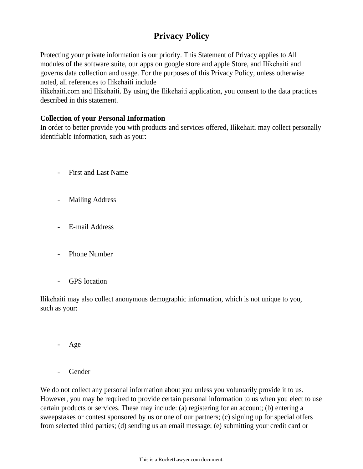# **Privacy Policy**

Protecting your private information is our priority. This Statement of Privacy applies to All modules of the software suite, our apps on google store and apple Store, and Ilikehaiti and governs data collection and usage. For the purposes of this Privacy Policy, unless otherwise noted, all references to Ilikehaiti include

ilikehaiti.com and Ilikehaiti. By using the Ilikehaiti application, you consent to the data practices described in this statement.

## **Collection of your Personal Information**

In order to better provide you with products and services offered, Ilikehaiti may collect personally identifiable information, such as your:

- First and Last Name
- Mailing Address
- E-mail Address
- Phone Number
- GPS location

Ilikehaiti may also collect anonymous demographic information, which is not unique to you, such as your:

- Age
- **Gender**

We do not collect any personal information about you unless you voluntarily provide it to us. However, you may be required to provide certain personal information to us when you elect to use certain products or services. These may include: (a) registering for an account; (b) entering a sweepstakes or contest sponsored by us or one of our partners; (c) signing up for special offers from selected third parties; (d) sending us an email message; (e) submitting your credit card or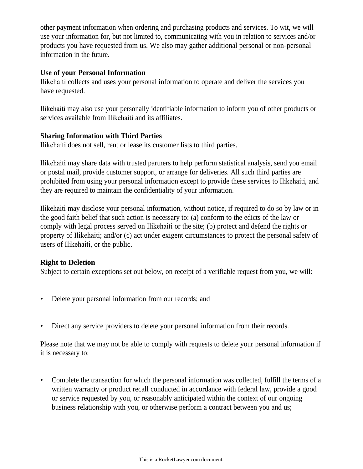other payment information when ordering and purchasing products and services. To wit, we will use your information for, but not limited to, communicating with you in relation to services and/or products you have requested from us. We also may gather additional personal or non-personal information in the future.

## **Use of your Personal Information**

Ilikehaiti collects and uses your personal information to operate and deliver the services you have requested.

Ilikehaiti may also use your personally identifiable information to inform you of other products or services available from Ilikehaiti and its affiliates.

### **Sharing Information with Third Parties**

Ilikehaiti does not sell, rent or lease its customer lists to third parties.

Ilikehaiti may share data with trusted partners to help perform statistical analysis, send you email or postal mail, provide customer support, or arrange for deliveries. All such third parties are prohibited from using your personal information except to provide these services to Ilikehaiti, and they are required to maintain the confidentiality of your information.

Ilikehaiti may disclose your personal information, without notice, if required to do so by law or in the good faith belief that such action is necessary to: (a) conform to the edicts of the law or comply with legal process served on Ilikehaiti or the site; (b) protect and defend the rights or property of Ilikehaiti; and/or (c) act under exigent circumstances to protect the personal safety of users of Ilikehaiti, or the public.

## **Right to Deletion**

Subject to certain exceptions set out below, on receipt of a verifiable request from you, we will:

- Delete your personal information from our records; and
- Direct any service providers to delete your personal information from their records.

Please note that we may not be able to comply with requests to delete your personal information if it is necessary to:

• Complete the transaction for which the personal information was collected, fulfill the terms of a written warranty or product recall conducted in accordance with federal law, provide a good or service requested by you, or reasonably anticipated within the context of our ongoing business relationship with you, or otherwise perform a contract between you and us;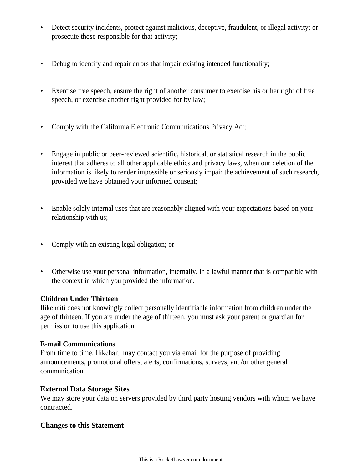- Detect security incidents, protect against malicious, deceptive, fraudulent, or illegal activity; or prosecute those responsible for that activity;
- Debug to identify and repair errors that impair existing intended functionality;
- Exercise free speech, ensure the right of another consumer to exercise his or her right of free speech, or exercise another right provided for by law;
- Comply with the California Electronic Communications Privacy Act;
- Engage in public or peer-reviewed scientific, historical, or statistical research in the public interest that adheres to all other applicable ethics and privacy laws, when our deletion of the information is likely to render impossible or seriously impair the achievement of such research, provided we have obtained your informed consent;
- Enable solely internal uses that are reasonably aligned with your expectations based on your relationship with us;
- Comply with an existing legal obligation; or
- Otherwise use your personal information, internally, in a lawful manner that is compatible with the context in which you provided the information.

#### **Children Under Thirteen**

Ilikehaiti does not knowingly collect personally identifiable information from children under the age of thirteen. If you are under the age of thirteen, you must ask your parent or guardian for permission to use this application.

#### **E-mail Communications**

From time to time, Ilikehaiti may contact you via email for the purpose of providing announcements, promotional offers, alerts, confirmations, surveys, and/or other general communication.

#### **External Data Storage Sites**

We may store your data on servers provided by third party hosting vendors with whom we have contracted.

#### **Changes to this Statement**